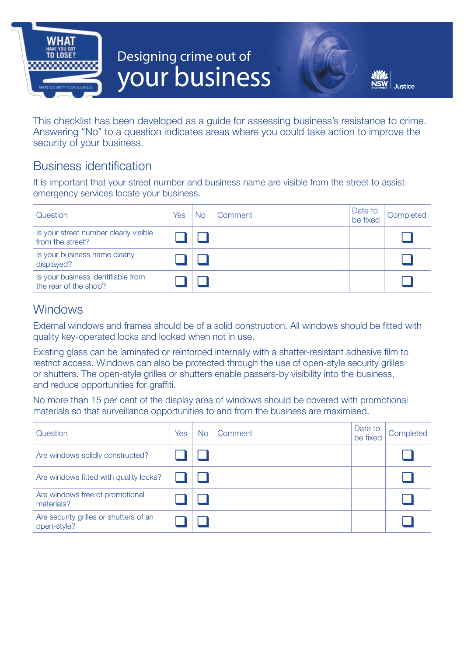

# **Designing crime out of your business**



This checklist has been developed as a guide for assessing business's resistance to crime. Answering "No" to a question indicates areas where you could take action to improve the security of your business.

## Business identification

It is important that your street number and business name are visible from the street to assist emergency services locate your business.

| Question                                                    | Yes | No. | Comment | Date to<br>be fixed | Completed |
|-------------------------------------------------------------|-----|-----|---------|---------------------|-----------|
| Is your street number clearly visible<br>from the street?   |     |     |         |                     |           |
| Is your business name clearly<br>displayed?                 |     |     |         |                     |           |
| Is your business identifiable from<br>the rear of the shop? |     |     |         |                     |           |

# **Windows**

External windows and frames should be of a solid construction. All windows should be fitted with quality key-operated locks and locked when not in use.

Existing glass can be laminated or reinforced internally with a shatter-resistant adhesive film to restrict access. Windows can also be protected through the use of open-style security grilles or shutters. The open-style grilles or shutters enable passers-by visibility into the business, and reduce opportunities for graffiti.

No more than 15 per cent of the display area of windows should be covered with promotional materials so that surveillance opportunities to and from the business are maximised.

| Question                                              | Yes | <b>No</b> | Comment | Date to<br>be fixed | Completed |
|-------------------------------------------------------|-----|-----------|---------|---------------------|-----------|
| Are windows solidly constructed?                      |     |           |         |                     |           |
| Are windows fitted with quality locks?                |     |           |         |                     |           |
| Are windows free of promotional<br>materials?         |     |           |         |                     |           |
| Are security grilles or shutters of an<br>open-style? |     |           |         |                     |           |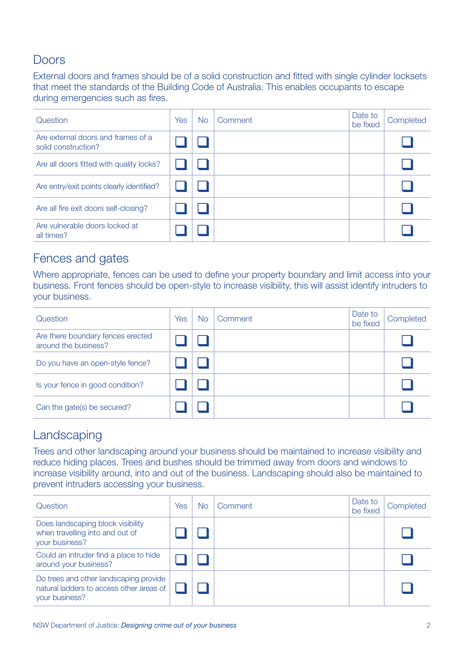### Doors

External doors and frames should be of a solid construction and fitted with single cylinder locksets that meet the standards of the Building Code of Australia. This enables occupants to escape during emergencies such as fires.

| Question                                                  | Yes | <b>No</b> | Comment | Date to<br>be fixed | Completed |
|-----------------------------------------------------------|-----|-----------|---------|---------------------|-----------|
| Are external doors and frames of a<br>solid construction? |     |           |         |                     |           |
| Are all doors fitted with quality locks?                  |     |           |         |                     |           |
| Are entry/exit points clearly identified?                 |     |           |         |                     |           |
| Are all fire exit doors self-closing?                     |     |           |         |                     |           |
| Are vulnerable doors locked at<br>all times?              |     |           |         |                     |           |

## Fences and gates

Where appropriate, fences can be used to define your property boundary and limit access into your business. Front fences should be open-style to increase visibility, this will assist identify intruders to your business.

| Question                                                  | Yes | No | Comment | Date to<br>be fixed | Completed |
|-----------------------------------------------------------|-----|----|---------|---------------------|-----------|
| Are there boundary fences erected<br>around the business? |     |    |         |                     |           |
| Do you have an open-style fence?                          |     |    |         |                     |           |
| Is your fence in good condition?                          |     |    |         |                     |           |
| Can the gate(s) be secured?                               |     |    |         |                     |           |

## Landscaping

Trees and other landscaping around your business should be maintained to increase visibility and reduce hiding places. Trees and bushes should be trimmed away from doors and windows to increase visibility around, into and out of the business. Landscaping should also be maintained to prevent intruders accessing your business.

| Question                                                                                             | Yes | No | Comment | Date to<br>be fixed | Completed |
|------------------------------------------------------------------------------------------------------|-----|----|---------|---------------------|-----------|
| Does landscaping block visibility<br>when travelling into and out of<br>your business?               |     |    |         |                     |           |
| Could an intruder find a place to hide<br>around your business?                                      |     |    |         |                     |           |
| Do trees and other landscaping provide<br>natural ladders to access other areas of<br>your business? |     |    |         |                     |           |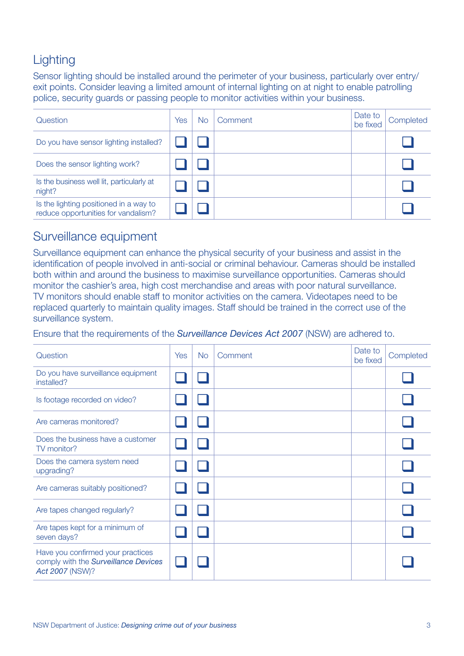# **Lighting**

Sensor lighting should be installed around the perimeter of your business, particularly over entry/ exit points. Consider leaving a limited amount of internal lighting on at night to enable patrolling police, security guards or passing people to monitor activities within your business.

| Question                                                                      | Yes | No | Comment | Date to<br>be fixed | Completed |
|-------------------------------------------------------------------------------|-----|----|---------|---------------------|-----------|
| Do you have sensor lighting installed?                                        |     |    |         |                     |           |
| Does the sensor lighting work?                                                |     |    |         |                     |           |
| Is the business well lit, particularly at<br>night?                           |     |    |         |                     |           |
| Is the lighting positioned in a way to<br>reduce opportunities for vandalism? |     |    |         |                     |           |

## Surveillance equipment

Surveillance equipment can enhance the physical security of your business and assist in the identification of people involved in anti-social or criminal behaviour. Cameras should be installed both within and around the business to maximise surveillance opportunities. Cameras should monitor the cashier's area, high cost merchandise and areas with poor natural surveillance. TV monitors should enable staff to monitor activities on the camera. Videotapes need to be replaced quarterly to maintain quality images. Staff should be trained in the correct use of the surveillance system.

Ensure that the requirements of the *Surveillance Devices Act 2007* (NSW) are adhered to.

| Question                                                                                     | Yes | <b>No</b> | Comment | Date to<br>be fixed | Completed |
|----------------------------------------------------------------------------------------------|-----|-----------|---------|---------------------|-----------|
| Do you have surveillance equipment<br>installed?                                             |     |           |         |                     |           |
| Is footage recorded on video?                                                                |     |           |         |                     |           |
| Are cameras monitored?                                                                       |     |           |         |                     |           |
| Does the business have a customer<br>TV monitor?                                             |     |           |         |                     |           |
| Does the camera system need<br>upgrading?                                                    |     |           |         |                     |           |
| Are cameras suitably positioned?                                                             |     |           |         |                     |           |
| Are tapes changed regularly?                                                                 |     |           |         |                     |           |
| Are tapes kept for a minimum of<br>seven days?                                               |     |           |         |                     |           |
| Have you confirmed your practices<br>comply with the Surveillance Devices<br>Act 2007 (NSW)? |     |           |         |                     |           |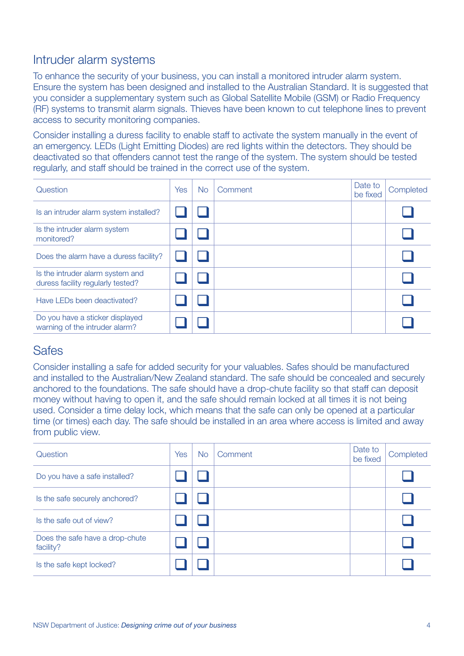## Intruder alarm systems

To enhance the security of your business, you can install a monitored intruder alarm system. Ensure the system has been designed and installed to the Australian Standard. It is suggested that you consider a supplementary system such as Global Satellite Mobile (GSM) or Radio Frequency (RF) systems to transmit alarm signals. Thieves have been known to cut telephone lines to prevent access to security monitoring companies.

Consider installing a duress facility to enable staff to activate the system manually in the event of an emergency. LEDs (Light Emitting Diodes) are red lights within the detectors. They should be deactivated so that offenders cannot test the range of the system. The system should be tested regularly, and staff should be trained in the correct use of the system.

| Question                                                              | <b>Yes</b> | <b>No</b> | Comment | Date to<br>be fixed | Completed |
|-----------------------------------------------------------------------|------------|-----------|---------|---------------------|-----------|
| Is an intruder alarm system installed?                                |            |           |         |                     |           |
| Is the intruder alarm system<br>monitored?                            |            |           |         |                     |           |
| Does the alarm have a duress facility?                                |            |           |         |                     |           |
| Is the intruder alarm system and<br>duress facility regularly tested? |            |           |         |                     |           |
| Have LEDs been deactivated?                                           |            |           |         |                     |           |
| Do you have a sticker displayed<br>warning of the intruder alarm?     |            |           |         |                     |           |

#### **Safes**

Consider installing a safe for added security for your valuables. Safes should be manufactured and installed to the Australian/New Zealand standard. The safe should be concealed and securely anchored to the foundations. The safe should have a drop-chute facility so that staff can deposit money without having to open it, and the safe should remain locked at all times it is not being used. Consider a time delay lock, which means that the safe can only be opened at a particular time (or times) each day. The safe should be installed in an area where access is limited and away from public view.

| Question                                     | Yes | N <sub>o</sub> | Comment | Date to<br>be fixed | Completed |
|----------------------------------------------|-----|----------------|---------|---------------------|-----------|
| Do you have a safe installed?                |     |                |         |                     |           |
| Is the safe securely anchored?               |     |                |         |                     |           |
| Is the safe out of view?                     |     |                |         |                     |           |
| Does the safe have a drop-chute<br>facility? |     |                |         |                     |           |
| Is the safe kept locked?                     |     |                |         |                     |           |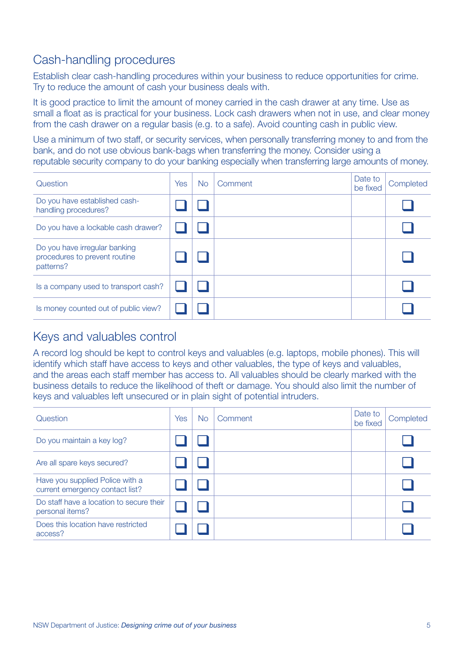# Cash-handling procedures

Establish clear cash-handling procedures within your business to reduce opportunities for crime. Try to reduce the amount of cash your business deals with.

It is good practice to limit the amount of money carried in the cash drawer at any time. Use as small a float as is practical for your business. Lock cash drawers when not in use, and clear money from the cash drawer on a regular basis (e.g. to a safe). Avoid counting cash in public view.

Use a minimum of two staff, or security services, when personally transferring money to and from the bank, and do not use obvious bank-bags when transferring the money. Consider using a reputable security company to do your banking especially when transferring large amounts of money.

| Question                                                                    | <b>Yes</b> | <b>No</b> | Comment | Date to<br>be fixed | Completed |
|-----------------------------------------------------------------------------|------------|-----------|---------|---------------------|-----------|
| Do you have established cash-<br>handling procedures?                       |            |           |         |                     |           |
| Do you have a lockable cash drawer?                                         |            |           |         |                     |           |
| Do you have irregular banking<br>procedures to prevent routine<br>patterns? |            |           |         |                     |           |
| Is a company used to transport cash?                                        |            |           |         |                     |           |
| Is money counted out of public view?                                        |            |           |         |                     |           |

## Keys and valuables control

A record log should be kept to control keys and valuables (e.g. laptops, mobile phones). This will identify which staff have access to keys and other valuables, the type of keys and valuables, and the areas each staff member has access to. All valuables should be clearly marked with the business details to reduce the likelihood of theft or damage. You should also limit the number of keys and valuables left unsecured or in plain sight of potential intruders.

| Question                                                           | Yes | <b>No</b> | Comment | Date to<br>be fixed | Completed |
|--------------------------------------------------------------------|-----|-----------|---------|---------------------|-----------|
| Do you maintain a key log?                                         |     |           |         |                     |           |
| Are all spare keys secured?                                        |     |           |         |                     |           |
| Have you supplied Police with a<br>current emergency contact list? |     |           |         |                     |           |
| Do staff have a location to secure their<br>personal items?        |     |           |         |                     |           |
| Does this location have restricted<br>access?                      |     |           |         |                     |           |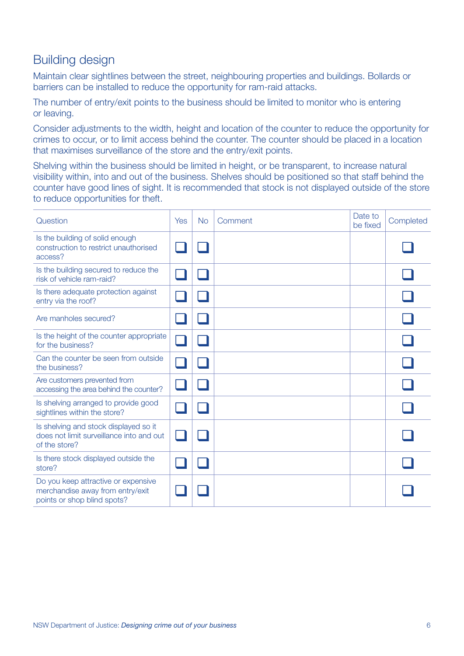## Building design

Maintain clear sightlines between the street, neighbouring properties and buildings. Bollards or barriers can be installed to reduce the opportunity for ram-raid attacks.

The number of entry/exit points to the business should be limited to monitor who is entering or leaving.

Consider adjustments to the width, height and location of the counter to reduce the opportunity for crimes to occur, or to limit access behind the counter. The counter should be placed in a location that maximises surveillance of the store and the entry/exit points.

Shelving within the business should be limited in height, or be transparent, to increase natural visibility within, into and out of the business. Shelves should be positioned so that staff behind the counter have good lines of sight. It is recommended that stock is not displayed outside of the store to reduce opportunities for theft.

| Question                                                                                               | Yes | <b>No</b> | Comment | Date to<br>be fixed | Completed |
|--------------------------------------------------------------------------------------------------------|-----|-----------|---------|---------------------|-----------|
| Is the building of solid enough<br>construction to restrict unauthorised<br>access?                    |     |           |         |                     |           |
| Is the building secured to reduce the<br>risk of vehicle ram-raid?                                     |     |           |         |                     |           |
| Is there adequate protection against<br>entry via the roof?                                            |     |           |         |                     |           |
| Are manholes secured?                                                                                  |     |           |         |                     |           |
| Is the height of the counter appropriate<br>for the business?                                          |     |           |         |                     |           |
| Can the counter be seen from outside<br>the business?                                                  |     |           |         |                     |           |
| Are customers prevented from<br>accessing the area behind the counter?                                 |     |           |         |                     |           |
| Is shelving arranged to provide good<br>sightlines within the store?                                   |     |           |         |                     |           |
| Is shelving and stock displayed so it<br>does not limit surveillance into and out<br>of the store?     |     |           |         |                     |           |
| Is there stock displayed outside the<br>store?                                                         |     |           |         |                     |           |
| Do you keep attractive or expensive<br>merchandise away from entry/exit<br>points or shop blind spots? |     |           |         |                     |           |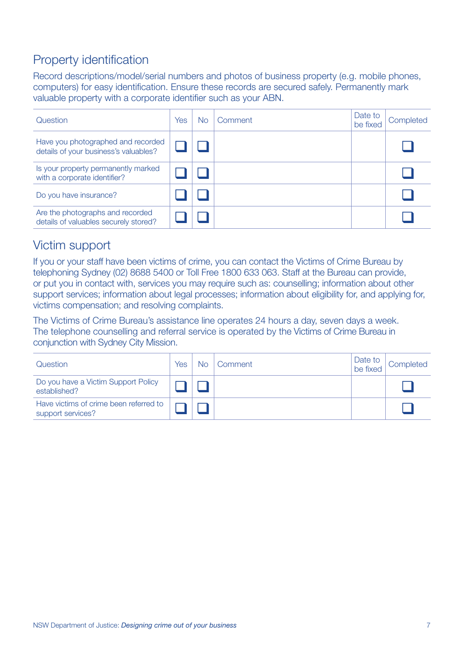# Property identification

Record descriptions/model/serial numbers and photos of business property (e.g. mobile phones, computers) for easy identification. Ensure these records are secured safely. Permanently mark valuable property with a corporate identifier such as your ABN.

| Question                                                                    | Yes | No | Comment | Date to<br>be fixed | Completed |
|-----------------------------------------------------------------------------|-----|----|---------|---------------------|-----------|
| Have you photographed and recorded<br>details of your business's valuables? |     |    |         |                     |           |
| Is your property permanently marked<br>with a corporate identifier?         |     |    |         |                     |           |
| Do you have insurance?                                                      |     |    |         |                     |           |
| Are the photographs and recorded<br>details of valuables securely stored?   |     |    |         |                     |           |

## Victim support

If you or your staff have been victims of crime, you can contact the Victims of Crime Bureau by telephoning Sydney (02) 8688 5400 or Toll Free 1800 633 063. Staff at the Bureau can provide, or put you in contact with, services you may require such as: counselling; information about other support services; information about legal processes; information about eligibility for, and applying for, victims compensation; and resolving complaints.

The Victims of Crime Bureau's assistance line operates 24 hours a day, seven days a week. The telephone counselling and referral service is operated by the Victims of Crime Bureau in conjunction with Sydney City Mission.

| Question                                                    | Yes | Nο | Comment | Date to<br>be fixed | Completed |
|-------------------------------------------------------------|-----|----|---------|---------------------|-----------|
| Do you have a Victim Support Policy<br>established?         |     |    |         |                     |           |
| Have victims of crime been referred to<br>support services? |     |    |         |                     |           |